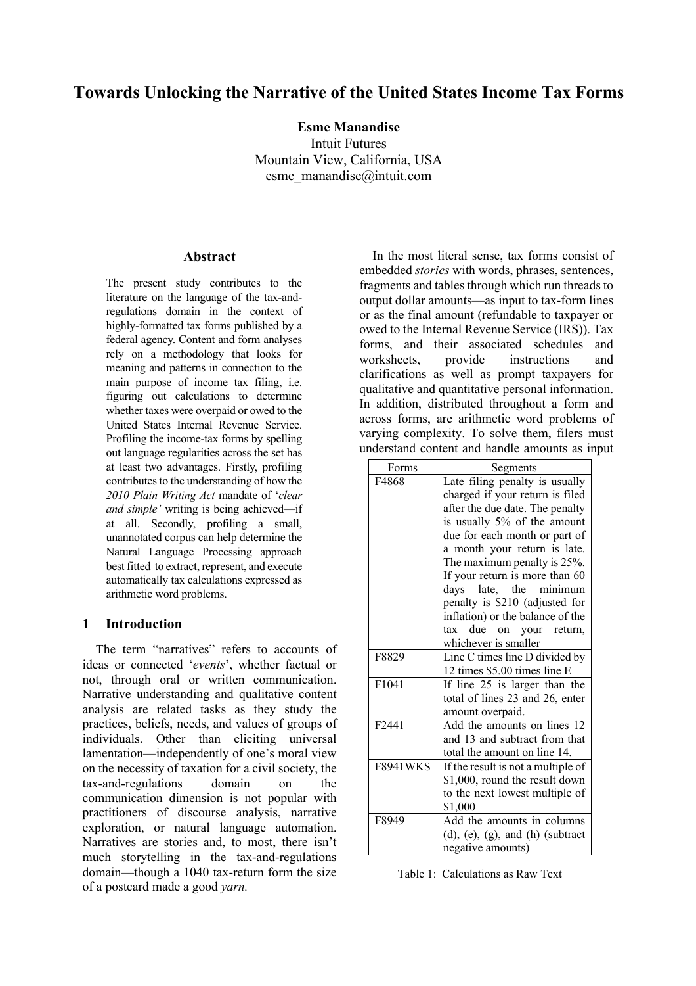# **Towards Unlocking the Narrative of the United States Income Tax Forms**

**Esme Manandise**

Intuit Futures Mountain View, California, USA esme\_manandise@intuit.com

#### **Abstract**

The present study contributes to the literature on the language of the tax-andregulations domain in the context of highly-formatted tax forms published by a federal agency. Content and form analyses rely on a methodology that looks for meaning and patterns in connection to the main purpose of income tax filing, i.e. figuring out calculations to determine whether taxes were overpaid or owed to the United States Internal Revenue Service. Profiling the income-tax forms by spelling out language regularities across the set has at least two advantages. Firstly, profiling contributes to the understanding of how the *2010 Plain Writing Act* mandate of '*clear and simple'* writing is being achieved—if at all. Secondly, profiling a small, unannotated corpus can help determine the Natural Language Processing approach best fitted to extract, represent, and execute automatically tax calculations expressed as arithmetic word problems.

## **1 Introduction**

The term "narratives" refers to accounts of ideas or connected '*events*', whether factual or not, through oral or written communication. Narrative understanding and qualitative content analysis are related tasks as they study the practices, beliefs, needs, and values of groups of individuals. Other than eliciting universal lamentation—independently of one's moral view on the necessity of taxation for a civil society, the tax-and-regulations domain on the communication dimension is not popular with practitioners of discourse analysis, narrative exploration, or natural language automation. Narratives are stories and, to most, there isn't much storytelling in the tax-and-regulations domain—though a 1040 tax-return form the size of a postcard made a good *yarn.*

In the most literal sense, tax forms consist of embedded *stories* with words, phrases, sentences, fragments and tables through which run threads to output dollar amounts—as input to tax-form lines or as the final amount (refundable to taxpayer or owed to the Internal Revenue Service (IRS)). Tax forms, and their associated schedules and worksheets, provide instructions and clarifications as well as prompt taxpayers for qualitative and quantitative personal information. In addition, distributed throughout a form and across forms, are arithmetic word problems of varying complexity. To solve them, filers must understand content and handle amounts as input

| Forms             | Segments                                    |
|-------------------|---------------------------------------------|
| F4868             | Late filing penalty is usually              |
|                   | charged if your return is filed             |
|                   | after the due date. The penalty             |
|                   | is usually 5% of the amount                 |
|                   | due for each month or part of               |
|                   | a month your return is late.                |
|                   | The maximum penalty is 25%.                 |
|                   | If your return is more than 60              |
|                   | late, the<br>davs<br>minimum                |
|                   | penalty is \$210 (adjusted for              |
|                   | inflation) or the balance of the            |
|                   | due on your return,<br>tax                  |
|                   | whichever is smaller                        |
| F8829             | Line C times line D divided by              |
|                   | 12 times \$5.00 times line E                |
| F1041             | If line 25 is larger than the               |
|                   | total of lines 23 and 26, enter             |
|                   | amount overpaid.                            |
| F <sub>2441</sub> | Add the amounts on lines 12                 |
|                   | and 13 and subtract from that               |
|                   | total the amount on line 14.                |
| <b>F8941WKS</b>   | If the result is not a multiple of          |
|                   | \$1,000, round the result down              |
|                   | to the next lowest multiple of              |
|                   | \$1,000                                     |
| F8949             | Add the amounts in columns                  |
|                   | $(d)$ , $(e)$ , $(g)$ , and $(h)$ (subtract |
|                   | negative amounts)                           |

Table 1: Calculations as Raw Text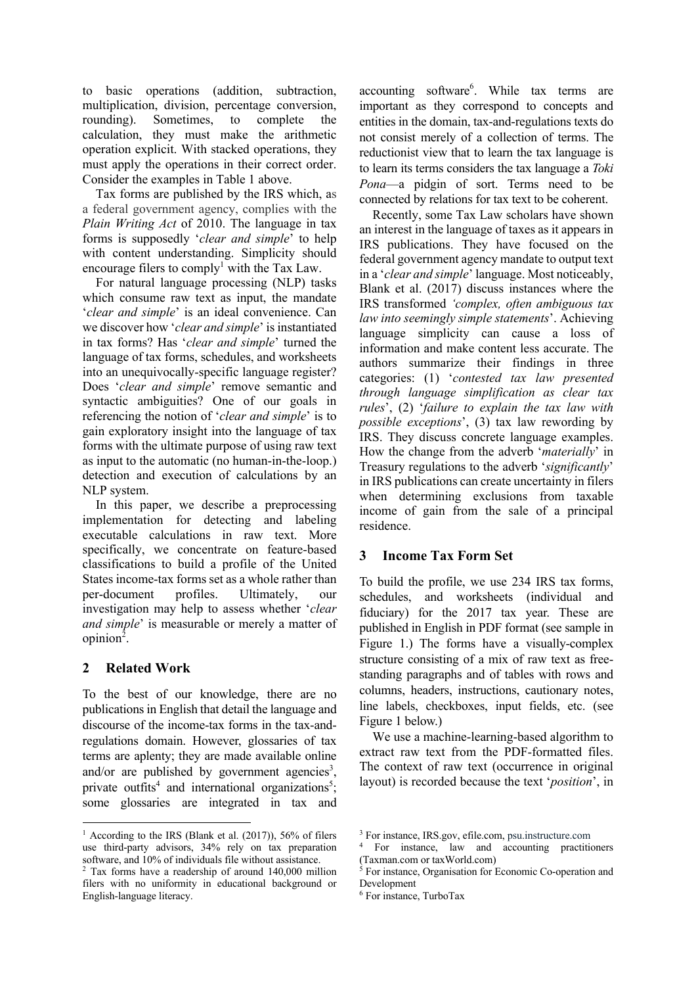to basic operations (addition, subtraction, multiplication, division, percentage conversion, rounding). Sometimes, to complete the calculation, they must make the arithmetic operation explicit. With stacked operations, they must apply the operations in their correct order. Consider the examples in Table 1 above.

Tax forms are published by the IRS which, as a federal government agency, complies with the *Plain Writing Act* of 2010. The language in tax forms is supposedly '*clear and simple*' to help with content understanding. Simplicity should encourage filers to comply<sup>1</sup> with the Tax Law.

For natural language processing (NLP) tasks which consume raw text as input, the mandate '*clear and simple*' is an ideal convenience. Can we discover how '*clear and simple*' is instantiated in tax forms? Has '*clear and simple*' turned the language of tax forms, schedules, and worksheets into an unequivocally-specific language register? Does '*clear and simple*' remove semantic and syntactic ambiguities? One of our goals in referencing the notion of '*clear and simple*' is to gain exploratory insight into the language of tax forms with the ultimate purpose of using raw text as input to the automatic (no human-in-the-loop.) detection and execution of calculations by an NLP system.

In this paper, we describe a preprocessing implementation for detecting and labeling executable calculations in raw text. More specifically, we concentrate on feature-based classifications to build a profile of the United States income-tax forms set as a whole rather than per-document profiles. Ultimately, our investigation may help to assess whether '*clear and simple*' is measurable or merely a matter of  $opinion<sup>2</sup>$ .

# **2 Related Work**

To the best of our knowledge, there are no publications in English that detail the language and discourse of the income-tax forms in the tax-andregulations domain. However, glossaries of tax terms are aplenty; they are made available online and/or are published by government agencies<sup>3</sup>, private outfits<sup>4</sup> and international organizations<sup>5</sup>; some glossaries are integrated in tax and

accounting software<sup>6</sup>. While tax terms are important as they correspond to concepts and entities in the domain, tax-and-regulations texts do not consist merely of a collection of terms. The reductionist view that to learn the tax language is to learn its terms considers the tax language a *Toki Pona*—a pidgin of sort. Terms need to be connected by relations for tax text to be coherent.

Recently, some Tax Law scholars have shown an interest in the language of taxes as it appears in IRS publications. They have focused on the federal government agency mandate to output text in a '*clear and simple*' language. Most noticeably, Blank et al. (2017) discuss instances where the IRS transformed *'complex, often ambiguous tax law into seemingly simple statements*'. Achieving language simplicity can cause a loss of information and make content less accurate. The authors summarize their findings in three categories: (1) '*contested tax law presented through language simplification as clear tax rules*', (2) '*failure to explain the tax law with possible exceptions*', (3) tax law rewording by IRS. They discuss concrete language examples. How the change from the adverb '*materially*' in Treasury regulations to the adverb '*significantly*' in IRS publications can create uncertainty in filers when determining exclusions from taxable income of gain from the sale of a principal residence.

# **3 Income Tax Form Set**

To build the profile, we use 234 IRS tax forms, schedules, and worksheets (individual and fiduciary) for the 2017 tax year. These are published in English in PDF format (see sample in Figure 1.) The forms have a visually-complex structure consisting of a mix of raw text as freestanding paragraphs and of tables with rows and columns, headers, instructions, cautionary notes, line labels, checkboxes, input fields, etc. (see Figure 1 below.)

We use a machine-learning-based algorithm to extract raw text from the PDF-formatted files. The context of raw text (occurrence in original layout) is recorded because the text '*position*', in

<sup>&</sup>lt;sup>1</sup> According to the IRS (Blank et al.  $(2017)$ ), 56% of filers use third-party advisors, 34% rely on tax preparation software, and 10% of individuals file without assistance.

<sup>2</sup> Tax forms have a readership of around 140,000 million filers with no uniformity in educational background or English-language literacy.

<sup>3</sup> For instance, IRS.gov, efile.com, psu.instructure.com

<sup>4</sup> For instance, law and accounting practitioners (Taxman.com or taxWorld.com)

 $\overrightarrow{5}$  For instance, Organisation for Economic Co-operation and Development

<sup>6</sup> For instance, TurboTax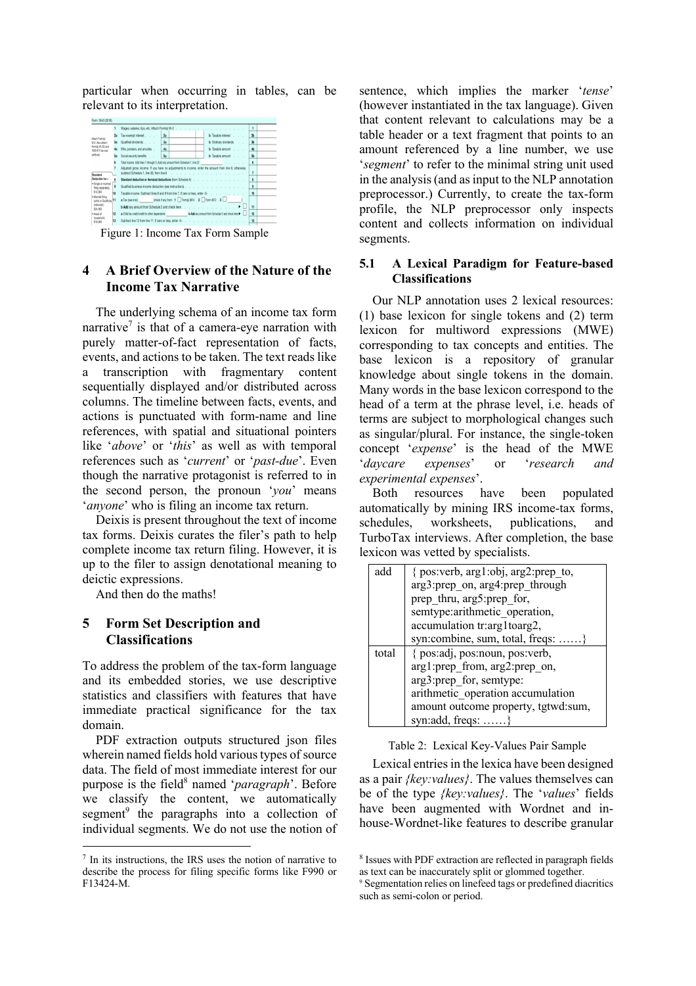particular when occurring in tables, can be relevant to its interpretation.

| Form 1040 (2018)                             |    |                                                                                                        |    |                         |                          |  |
|----------------------------------------------|----|--------------------------------------------------------------------------------------------------------|----|-------------------------|--------------------------|--|
|                                              |    | Wages, salaries, tips, etc. Attach Form(s) W-2 (etc.) (etc.) (etc.) (etc.) (etc.) (etc.) (etc.) (etc.) |    |                         | $\oplus$                 |  |
|                                              | 2a | Tax-exempt interest                                                                                    | 2a | b Taxable interest      | n                        |  |
| Attach Formbl<br>W-2. Also attach            | 3a | Qualified dividends                                                                                    | 3a | b Ordinary dividends    | 3 <sub>b</sub>           |  |
| Formisi W-2G and<br>1093-R if tax was        | 4a | IRAs, pensions, and annuities .                                                                        | 4a | <b>b</b> Taxable amount | 4 <sub>b</sub>           |  |
| withheld.                                    | 5a | Social security benefits                                                                               | Sa | b Taxable amount        | Sb                       |  |
|                                              |    |                                                                                                        |    |                         | 6                        |  |
| Standard                                     |    | Adjusted gross income. If you have no adjustments to income, enter the amount from line 6; otherwise,  |    |                         | $\overline{\phantom{a}}$ |  |
| Deduction for-                               | å  |                                                                                                        |    |                         | 8                        |  |
| · Single or married<br>filing separately.    | ٠  | Qualified business income deduction (see instructions).                                                |    |                         | $\mathbf{Q}$             |  |
| \$12,000                                     | 10 | Taxable income. Subtract lines 8 and 9 from line 7. If zero or less, enter -0-                         |    |                         | 10                       |  |
| . Married filing<br>jointly or Qualifying 11 |    | a Tax (see inst.) (check if any from: 1 Form) 8814 2 From 4972 3 L                                     |    |                         |                          |  |
| widowieri.<br>\$24,000                       |    |                                                                                                        |    |                         | 11                       |  |
| · Head of                                    | 12 | a Child tax credit/credit for other dependents b Add any arrount from Schedule 3 and check here >      |    |                         | 12                       |  |
| household.<br>\$18,000                       | 13 | Subtract line 12 from line 11. If zero or less, enter-0-                                               |    |                         | 13                       |  |
|                                              |    |                                                                                                        |    |                         |                          |  |

Figure 1: Income Tax Form Sample

# **4 A Brief Overview of the Nature of the Income Tax Narrative**

The underlying schema of an income tax form narrative<sup>7</sup> is that of a camera-eye narration with purely matter-of-fact representation of facts, events, and actions to be taken. The text reads like a transcription with fragmentary content sequentially displayed and/or distributed across columns. The timeline between facts, events, and actions is punctuated with form-name and line references, with spatial and situational pointers like '*above*' or '*this*' as well as with temporal references such as '*current*' or '*past-due*'. Even though the narrative protagonist is referred to in the second person, the pronoun '*you*' means '*anyone*' who is filing an income tax return.

Deixis is present throughout the text of income tax forms. Deixis curates the filer's path to help complete income tax return filing. However, it is up to the filer to assign denotational meaning to deictic expressions.

And then do the maths!

# **5 Form Set Description and Classifications**

To address the problem of the tax-form language and its embedded stories, we use descriptive statistics and classifiers with features that have immediate practical significance for the tax domain.

PDF extraction outputs structured json files wherein named fields hold various types of source data. The field of most immediate interest for our purpose is the field<sup>8</sup> named '*paragraph*'. Before we classify the content, we automatically segment<sup>9</sup> the paragraphs into a collection of individual segments. We do not use the notion of

sentence, which implies the marker '*tense*' (however instantiated in the tax language). Given that content relevant to calculations may be a table header or a text fragment that points to an amount referenced by a line number, we use '*segment*' to refer to the minimal string unit used in the analysis (and as input to the NLP annotation preprocessor.) Currently, to create the tax-form profile, the NLP preprocessor only inspects content and collects information on individual segments.

## **5.1 A Lexical Paradigm for Feature-based Classifications**

Our NLP annotation uses 2 lexical resources: (1) base lexicon for single tokens and (2) term lexicon for multiword expressions (MWE) corresponding to tax concepts and entities. The base lexicon is a repository of granular knowledge about single tokens in the domain. Many words in the base lexicon correspond to the head of a term at the phrase level, i.e. heads of terms are subject to morphological changes such as singular/plural. For instance, the single-token concept '*expense*' is the head of the MWE '*daycare expenses*' or '*research and experimental expenses*'.

Both resources have been populated automatically by mining IRS income-tax forms, schedules, worksheets, publications, and TurboTax interviews. After completion, the base lexicon was vetted by specialists.

| add   | { pos:verb, arg1:obj, arg2:prep to, |  |  |  |
|-------|-------------------------------------|--|--|--|
|       | arg3:prep on, arg4:prep through     |  |  |  |
|       | prep thru, arg5:prep for,           |  |  |  |
|       | semtype: arithmetic operation,      |  |  |  |
|       | accumulation tr:arg1toarg2,         |  |  |  |
|       | syn:combine, sum, total, freqs:     |  |  |  |
| total | { pos:adj, pos:noun, pos:verb,      |  |  |  |
|       | arg1:prep from, arg2:prep on,       |  |  |  |
|       | arg3:prep for, semtype:             |  |  |  |
|       | arithmetic operation accumulation   |  |  |  |
|       | amount outcome property, tgtwd:sum, |  |  |  |
|       | syn:add, freqs: $\dots \dots$ }     |  |  |  |

#### Table 2: Lexical Key-Values Pair Sample

Lexical entries in the lexica have been designed Exhear entries in the texted have been designed<br>as a pair *{key:values}*. The values themselves can be of the type *{key:values}*. The '*values*' fields have been augmented with Wordnet and inhouse-Wordnet-like features to describe granular

 $7$  In its instructions, the IRS uses the notion of narrative to describe the process for filing specific forms like F990 or F13424-M.

<sup>8</sup> Issues with PDF extraction are reflected in paragraph fields as text can be inaccurately split or glommed together.

<sup>9</sup> Segmentation relies on linefeed tags or predefined diacritics such as semi-colon or period.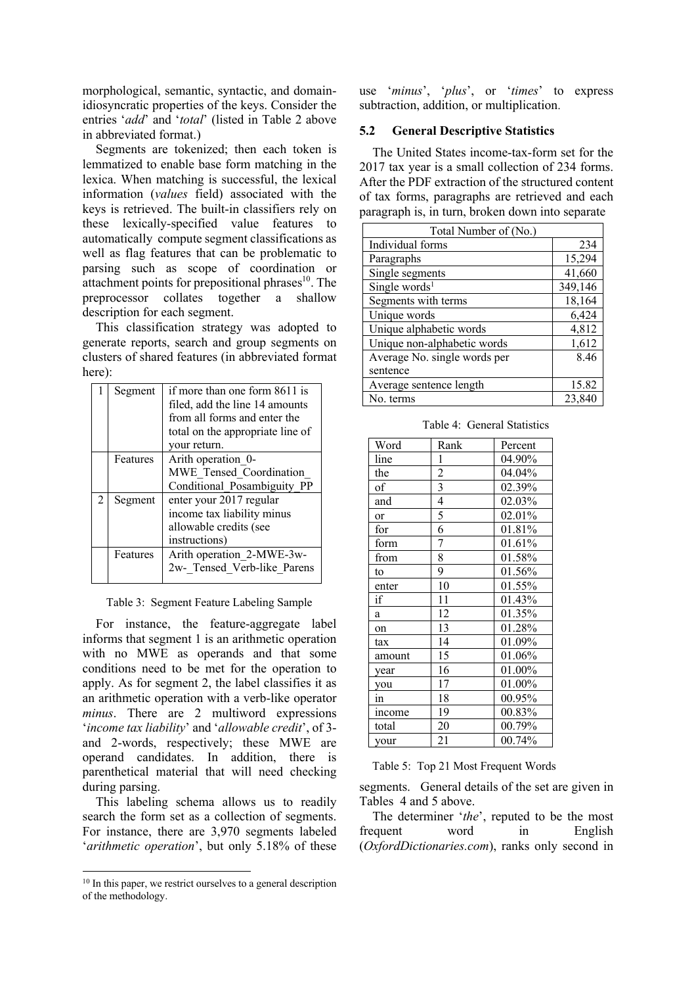morphological, semantic, syntactic, and domainidiosyncratic properties of the keys. Consider the entries '*add*' and '*total*' (listed in Table 2 above in abbreviated format.)

Segments are tokenized; then each token is lemmatized to enable base form matching in the lexica. When matching is successful, the lexical information (*values* field) associated with the keys is retrieved. The built-in classifiers rely on these lexically-specified value features to automatically compute segment classifications as well as flag features that can be problematic to parsing such as scope of coordination or attachment points for prepositional phrases $10$ . The preprocessor collates together a shallow description for each segment.

This classification strategy was adopted to generate reports, search and group segments on clusters of shared features (in abbreviated format here):

|   | Segment  | if more than one form 8611 is    |  |  |  |  |
|---|----------|----------------------------------|--|--|--|--|
|   |          | filed, add the line 14 amounts   |  |  |  |  |
|   |          | from all forms and enter the     |  |  |  |  |
|   |          | total on the appropriate line of |  |  |  |  |
|   |          | your return.                     |  |  |  |  |
|   | Features | Arith operation 0-               |  |  |  |  |
|   |          | MWE Tensed Coordination          |  |  |  |  |
|   |          | Conditional Posambiguity PP      |  |  |  |  |
| 2 | Segment  | enter your 2017 regular          |  |  |  |  |
|   |          | income tax liability minus       |  |  |  |  |
|   |          | allowable credits (see           |  |  |  |  |
|   |          | instructions)                    |  |  |  |  |
|   | Features | Arith operation 2-MWE-3w-        |  |  |  |  |
|   |          | 2w- Tensed Verb-like Parens      |  |  |  |  |

Table 3: Segment Feature Labeling Sample

For instance, the feature-aggregate label informs that segment 1 is an arithmetic operation with no MWE as operands and that some conditions need to be met for the operation to apply. As for segment 2, the label classifies it as an arithmetic operation with a verb-like operator *minus*. There are 2 multiword expressions '*income tax liability*' and '*allowable credit*', of 3 and 2-words, respectively; these MWE are operand candidates. In addition, there is parenthetical material that will need checking during parsing.

This labeling schema allows us to readily search the form set as a collection of segments. For instance, there are 3,970 segments labeled '*arithmetic operation*', but only 5.18% of these

use '*minus*', '*plus*', or '*times*' to express subtraction, addition, or multiplication.

#### **5.2 General Descriptive Statistics**

The United States income-tax-form set for the 2017 tax year is a small collection of 234 forms. After the PDF extraction of the structured content of tax forms, paragraphs are retrieved and each paragraph is, in turn, broken down into separate

| Total Number of (No.)        |         |
|------------------------------|---------|
| Individual forms             | 234     |
| Paragraphs                   | 15,294  |
| Single segments              | 41,660  |
| Single words <sup>1</sup>    | 349,146 |
| Segments with terms          | 18,164  |
| Unique words                 | 6,424   |
| Unique alphabetic words      | 4,812   |
| Unique non-alphabetic words  | 1,612   |
| Average No. single words per | 8.46    |
| sentence                     |         |
| Average sentence length      | 15.82   |
| No. terms                    | 23,840  |

Table 4: General Statistics

| Word      | Rank           | Percent |
|-----------|----------------|---------|
| line      | 1              | 04.90%  |
| the       | $\overline{c}$ | 04.04%  |
| of        | 3              | 02.39%  |
| and       | $\overline{4}$ | 02.03%  |
| <b>or</b> | 5              | 02.01%  |
| for       | 6              | 01.81%  |
| form      | 7              | 01.61%  |
| from      | 8              | 01.58%  |
| to        | 9              | 01.56%  |
| enter     | 10             | 01.55%  |
| if        | 11             | 01.43%  |
| a         | 12             | 01.35%  |
| on        | 13             | 01.28%  |
| tax       | 14             | 01.09%  |
| amount    | 15             | 01.06%  |
| year      | 16             | 01.00%  |
| you       | 17             | 01.00%  |
| 1n        | 18             | 00.95%  |
| income    | 19             | 00.83%  |
| total     | 20             | 00.79%  |
| your      | 21             | 00.74%  |

Table 5: Top 21 Most Frequent Words

segments. General details of the set are given in Tables 4 and 5 above.

The determiner '*the*', reputed to be the most frequent word in English (*OxfordDictionaries.com*), ranks only second in

<sup>&</sup>lt;sup>10</sup> In this paper, we restrict ourselves to a general description of the methodology.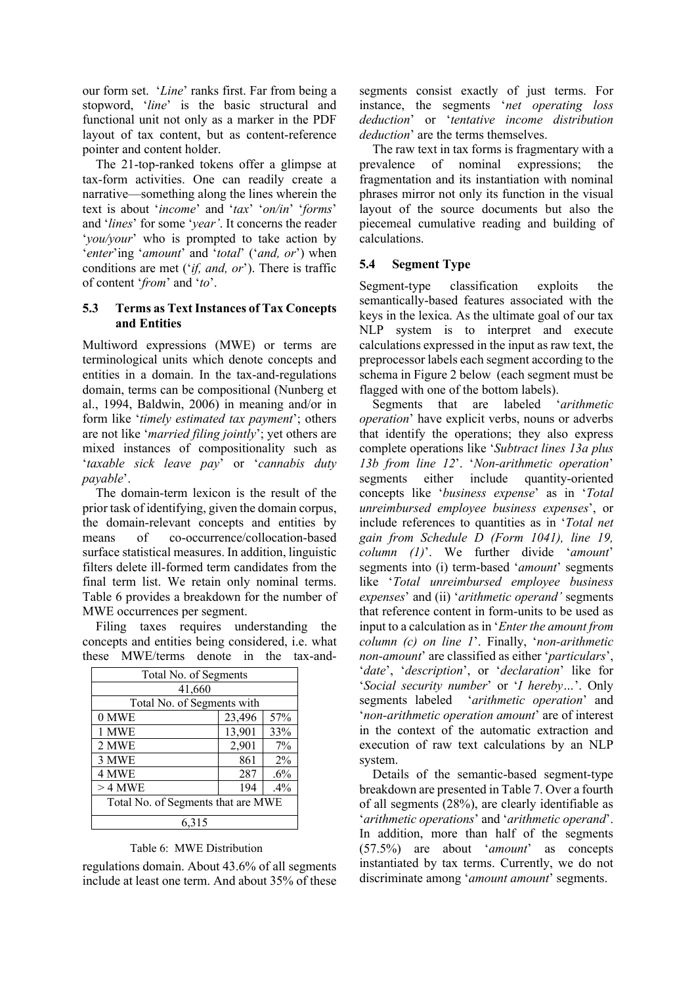our form set. '*Line*' ranks first. Far from being a stopword, '*line*' is the basic structural and functional unit not only as a marker in the PDF layout of tax content, but as content-reference pointer and content holder.

The 21-top-ranked tokens offer a glimpse at tax-form activities. One can readily create a narrative—something along the lines wherein the text is about '*income*' and '*tax*' '*on/in*' '*forms*' and '*lines*' for some '*year'*. It concerns the reader '*you/your*' who is prompted to take action by '*enter*'ing '*amount*' and '*total*' ('*and, or*') when conditions are met ('*if, and, or*'). There is traffic of content '*from*' and '*to*'.

## **5.3 Terms as Text Instances of Tax Concepts and Entities**

Multiword expressions (MWE) or terms are terminological units which denote concepts and entities in a domain. In the tax-and-regulations domain, terms can be compositional (Nunberg et al., 1994, Baldwin, 2006) in meaning and/or in form like '*timely estimated tax payment*'; others are not like '*married filing jointly*'; yet others are mixed instances of compositionality such as '*taxable sick leave pay*' or '*cannabis duty payable*'.

The domain-term lexicon is the result of the prior task of identifying, given the domain corpus, the domain-relevant concepts and entities by means of co-occurrence/collocation-based surface statistical measures. In addition, linguistic filters delete ill-formed term candidates from the final term list. We retain only nominal terms. Table 6 provides a breakdown for the number of MWE occurrences per segment.

Filing taxes requires understanding the concepts and entities being considered, i.e. what these MWE/terms denote in the tax-and-

| Total No. of Segments              |        |       |  |  |  |
|------------------------------------|--------|-------|--|--|--|
| 41,660                             |        |       |  |  |  |
| Total No. of Segments with         |        |       |  |  |  |
| 23,496<br>57%<br>0 MWE             |        |       |  |  |  |
| 1 MWE                              | 13,901 | 33%   |  |  |  |
| 2 MWE                              | 2,901  | $7\%$ |  |  |  |
| 3 MWE<br>861<br>$2\%$              |        |       |  |  |  |
| 4 MWE<br>287<br>.6%                |        |       |  |  |  |
| 194<br>$>4$ MWE<br>.4%             |        |       |  |  |  |
| Total No. of Segments that are MWE |        |       |  |  |  |
| 6.315                              |        |       |  |  |  |

## Table 6: MWE Distribution

regulations domain. About 43.6% of all segments include at least one term. And about 35% of these

segments consist exactly of just terms. For instance, the segments '*net operating loss deduction*' or '*tentative income distribution deduction*' are the terms themselves.

The raw text in tax forms is fragmentary with a prevalence of nominal expressions; the fragmentation and its instantiation with nominal phrases mirror not only its function in the visual layout of the source documents but also the piecemeal cumulative reading and building of calculations.

## **5.4 Segment Type**

Segment-type classification exploits the semantically-based features associated with the keys in the lexica. As the ultimate goal of our tax NLP system is to interpret and execute calculations expressed in the input as raw text, the preprocessor labels each segment according to the schema in Figure 2 below (each segment must be flagged with one of the bottom labels).

Segments that are labeled '*arithmetic operation*' have explicit verbs, nouns or adverbs that identify the operations; they also express complete operations like '*Subtract lines 13a plus 13b from line 12*'. '*Non-arithmetic operation*' segments either include quantity-oriented concepts like '*business expense*' as in '*Total unreimbursed employee business expenses*', or include references to quantities as in '*Total net gain from Schedule D (Form 1041), line 19, column (1)*'. We further divide '*amount*' segments into (i) term-based '*amount*' segments like '*Total unreimbursed employee business expenses*' and (ii) '*arithmetic operand'* segments that reference content in form-units to be used as input to a calculation as in '*Enter the amount from column (c) on line 1*'. Finally, '*non-arithmetic non-amount*' are classified as either '*particulars*', '*date*', '*description*', or '*declaration*' like for '*Social security number*' or '*I hereby…*'. Only segments labeled '*arithmetic operation*' and '*non-arithmetic operation amount*' are of interest in the context of the automatic extraction and execution of raw text calculations by an NLP system.

Details of the semantic-based segment-type breakdown are presented in Table 7. Over a fourth of all segments (28%), are clearly identifiable as '*arithmetic operations*' and '*arithmetic operand*'. In addition, more than half of the segments (57.5%) are about '*amount*' as concepts instantiated by tax terms. Currently, we do not discriminate among '*amount amount*' segments.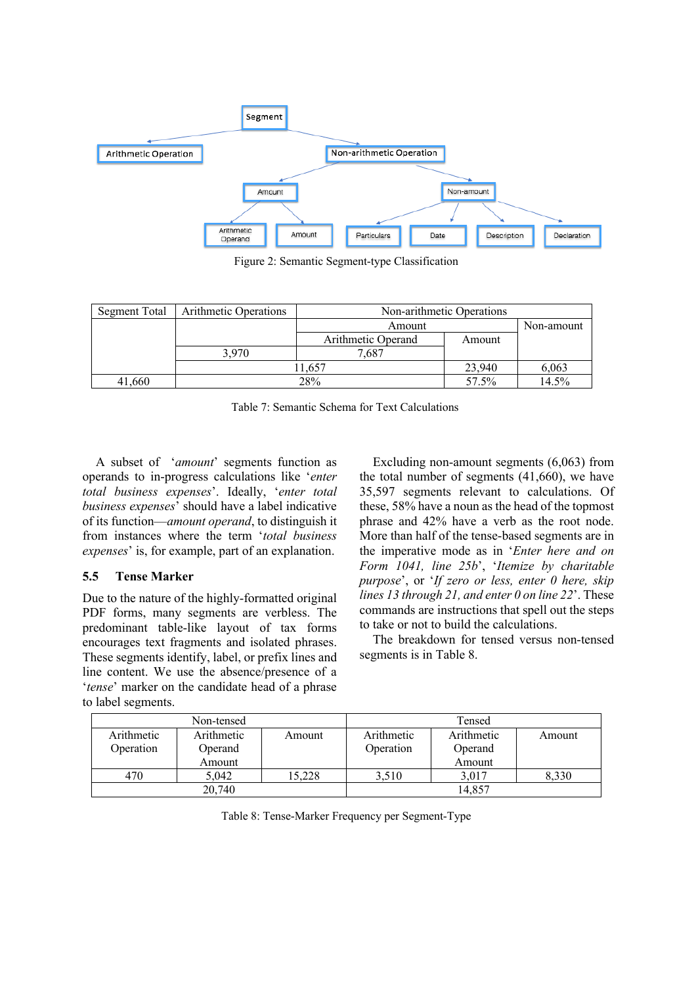

Figure 2: Semantic Segment-type Classification

| Segment Total | <b>Arithmetic Operations</b> | Non-arithmetic Operations |        |            |  |
|---------------|------------------------------|---------------------------|--------|------------|--|
|               |                              | Amount                    |        | Non-amount |  |
|               |                              | Arithmetic Operand        | Amount |            |  |
|               | 3.970                        | 7.687                     |        |            |  |
|               |                              | 23,940                    | 6,063  |            |  |
| 41,660        |                              | 57.5%                     | 14.5%  |            |  |

Table 7: Semantic Schema for Text Calculations

A subset of '*amount*' segments function as operands to in-progress calculations like '*enter total business expenses*'. Ideally, '*enter total business expenses*' should have a label indicative of its function—*amount operand*, to distinguish it from instances where the term '*total business expenses*' is, for example, part of an explanation.

# **5.5 Tense Marker**

Due to the nature of the highly-formatted original PDF forms, many segments are verbless. The predominant table-like layout of tax forms encourages text fragments and isolated phrases. These segments identify, label, or prefix lines and line content. We use the absence/presence of a '*tense*' marker on the candidate head of a phrase to label segments.

Excluding non-amount segments (6,063) from the total number of segments (41,660), we have 35,597 segments relevant to calculations. Of these, 58% have a noun as the head of the topmost phrase and 42% have a verb as the root node. More than half of the tense-based segments are in the imperative mode as in '*Enter here and on Form 1041, line 25b*', '*Itemize by charitable purpose*', or '*If zero or less, enter 0 here, skip lines 13 through 21, and enter 0 on line 22*'. These commands are instructions that spell out the steps to take or not to build the calculations.

The breakdown for tensed versus non-tensed segments is in Table 8.

| Non-tensed |            |        | Tensed     |            |        |
|------------|------------|--------|------------|------------|--------|
| Arithmetic | Arithmetic | Amount | Arithmetic | Arithmetic | Amount |
| Operation  | Operand    |        | Operation  | Operand    |        |
|            | Amount     |        |            | Amount     |        |
| 470        | 5,042      | 15,228 | 3.510      | 3,017      | 8.330  |
| 20,740     |            |        |            | 14,857     |        |

Table 8: Tense-Marker Frequency per Segment-Type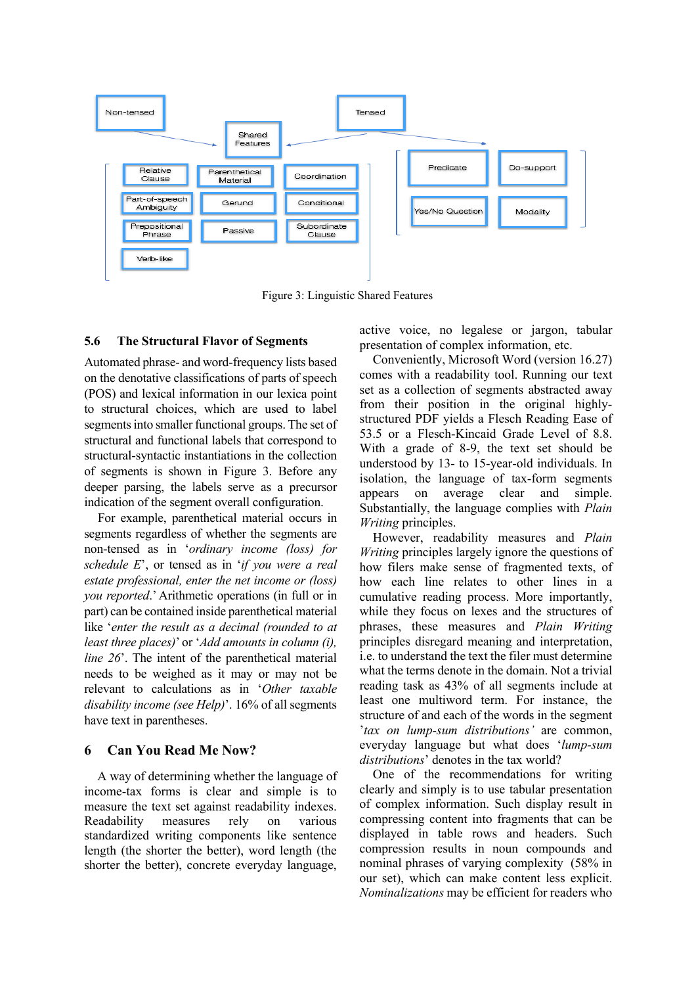

Figure 3: Linguistic Shared Features

#### **5.6 The Structural Flavor of Segments**

Automated phrase- and word-frequency lists based on the denotative classifications of parts of speech (POS) and lexical information in our lexica point to structural choices, which are used to label segments into smaller functional groups. The set of structural and functional labels that correspond to structural-syntactic instantiations in the collection of segments is shown in Figure 3. Before any deeper parsing, the labels serve as a precursor indication of the segment overall configuration.

For example, parenthetical material occurs in segments regardless of whether the segments are non-tensed as in '*ordinary income (loss) for schedule E*', or tensed as in '*if you were a real estate professional, enter the net income or (loss) you reported*.' Arithmetic operations (in full or in part) can be contained inside parenthetical material like '*enter the result as a decimal (rounded to at least three places)*' or '*Add amounts in column (i), line 26*'. The intent of the parenthetical material needs to be weighed as it may or may not be relevant to calculations as in '*Other taxable disability income (see Help)*'. 16% of all segments have text in parentheses.

#### **6 Can You Read Me Now?**

A way of determining whether the language of income-tax forms is clear and simple is to measure the text set against readability indexes. Readability measures rely on various standardized writing components like sentence length (the shorter the better), word length (the shorter the better), concrete everyday language,

active voice, no legalese or jargon, tabular presentation of complex information, etc.

Conveniently, Microsoft Word (version 16.27) comes with a readability tool. Running our text set as a collection of segments abstracted away from their position in the original highlystructured PDF yields a Flesch Reading Ease of 53.5 or a Flesch-Kincaid Grade Level of 8.8. With a grade of 8-9, the text set should be understood by 13- to 15-year-old individuals. In isolation, the language of tax-form segments appears on average clear and simple. Substantially, the language complies with *Plain Writing* principles.

However, readability measures and *Plain Writing* principles largely ignore the questions of how filers make sense of fragmented texts, of how each line relates to other lines in a cumulative reading process. More importantly, while they focus on lexes and the structures of phrases, these measures and *Plain Writing* principles disregard meaning and interpretation, i.e. to understand the text the filer must determine what the terms denote in the domain. Not a trivial reading task as 43% of all segments include at least one multiword term. For instance, the structure of and each of the words in the segment '*tax on lump-sum distributions'* are common, everyday language but what does '*lump-sum distributions*' denotes in the tax world?

One of the recommendations for writing clearly and simply is to use tabular presentation of complex information. Such display result in compressing content into fragments that can be displayed in table rows and headers. Such compression results in noun compounds and nominal phrases of varying complexity (58% in our set), which can make content less explicit. *Nominalizations* may be efficient for readers who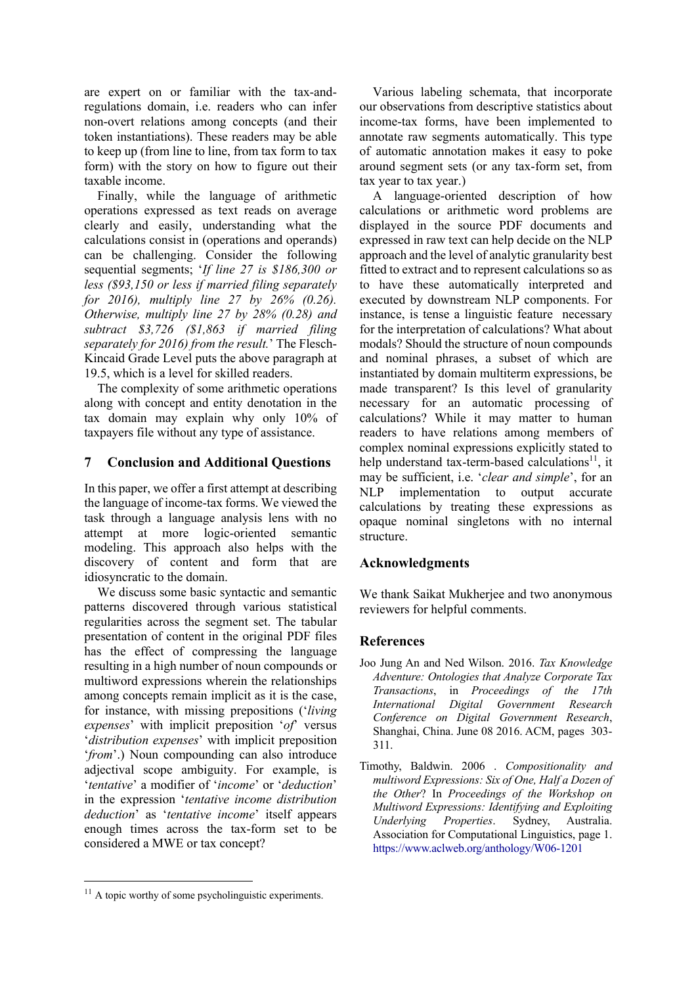are expert on or familiar with the tax-andregulations domain, i.e. readers who can infer non-overt relations among concepts (and their token instantiations). These readers may be able to keep up (from line to line, from tax form to tax form) with the story on how to figure out their taxable income.

Finally, while the language of arithmetic operations expressed as text reads on average clearly and easily, understanding what the calculations consist in (operations and operands) can be challenging. Consider the following sequential segments; '*If line 27 is \$186,300 or less (\$93,150 or less if married filing separately for 2016), multiply line 27 by 26% (0.26). Otherwise, multiply line 27 by 28% (0.28) and subtract \$3,726 (\$1,863 if married filing separately for 2016) from the result.*' The Flesch-Kincaid Grade Level puts the above paragraph at 19.5, which is a level for skilled readers.

The complexity of some arithmetic operations along with concept and entity denotation in the tax domain may explain why only 10% of taxpayers file without any type of assistance.

## **7 Conclusion and Additional Questions**

In this paper, we offer a first attempt at describing the language of income-tax forms. We viewed the task through a language analysis lens with no attempt at more logic-oriented semantic modeling. This approach also helps with the discovery of content and form that are idiosyncratic to the domain.

We discuss some basic syntactic and semantic patterns discovered through various statistical regularities across the segment set. The tabular presentation of content in the original PDF files has the effect of compressing the language resulting in a high number of noun compounds or multiword expressions wherein the relationships among concepts remain implicit as it is the case, for instance, with missing prepositions ('*living expenses*' with implicit preposition '*of*' versus '*distribution expenses*' with implicit preposition '*from*'.) Noun compounding can also introduce adjectival scope ambiguity. For example, is '*tentative*' a modifier of '*income*' or '*deduction*' in the expression '*tentative income distribution deduction*' as '*tentative income*' itself appears enough times across the tax-form set to be considered a MWE or tax concept?

Various labeling schemata, that incorporate our observations from descriptive statistics about income-tax forms, have been implemented to annotate raw segments automatically. This type of automatic annotation makes it easy to poke around segment sets (or any tax-form set, from tax year to tax year.)

A language-oriented description of how calculations or arithmetic word problems are displayed in the source PDF documents and expressed in raw text can help decide on the NLP approach and the level of analytic granularity best fitted to extract and to represent calculations so as to have these automatically interpreted and executed by downstream NLP components. For instance, is tense a linguistic feature necessary for the interpretation of calculations? What about modals? Should the structure of noun compounds and nominal phrases, a subset of which are instantiated by domain multiterm expressions, be made transparent? Is this level of granularity necessary for an automatic processing of calculations? While it may matter to human readers to have relations among members of complex nominal expressions explicitly stated to help understand tax-term-based calculations $^{11}$ , it may be sufficient, i.e. '*clear and simple*', for an NLP implementation to output accurate calculations by treating these expressions as opaque nominal singletons with no internal structure.

# **Acknowledgments**

We thank Saikat Mukherjee and two anonymous reviewers for helpful comments.

## **References**

- Joo Jung An and Ned Wilson. 2016. *Tax Knowledge Adventure: Ontologies that Analyze Corporate Tax Transactions*, in *Proceedings of the 17th International Digital Government Research Conference on Digital Government Research*, Shanghai, China. June 08 2016. ACM, pages 303- 311.
- Timothy, Baldwin. 2006 . *Compositionality and multiword Expressions: Six of One, Half a Dozen of the Other*? In *Proceedings of the Workshop on Multiword Expressions: Identifying and Exploiting Underlying Properties*. Sydney, Australia. Association for Computational Linguistics, page 1. https://www.aclweb.org/anthology/W06-1201

<sup>&</sup>lt;sup>11</sup> A topic worthy of some psycholinguistic experiments.